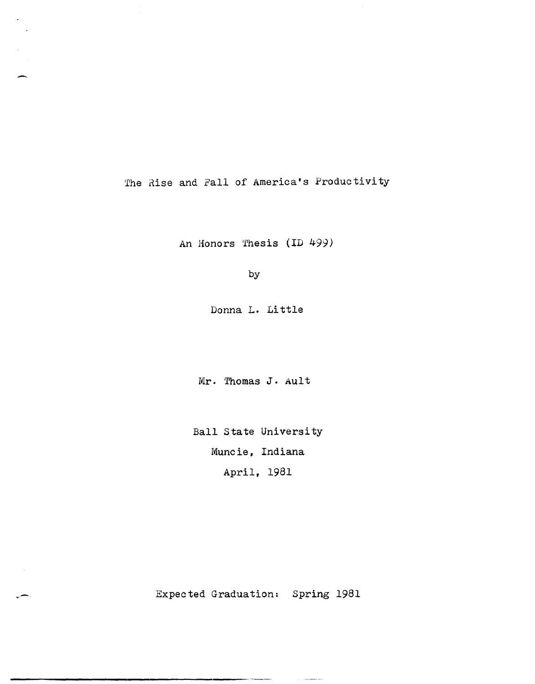The Rise and Fall of America's Productivity

 $\ddot{\phantom{a}}$ 

An Honors Thesis (ID 499)

by

Donna L. Little

Mr. Thomas J. Ault

Ball State University Muncie, Indiana April, 1981

Expected Graduation: Spring 1981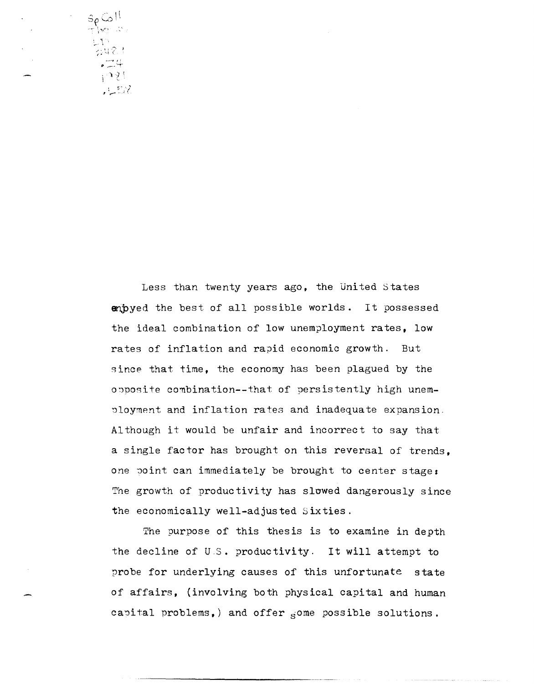$\frac{S\rho}{T}$  for  $\frac{1}{N}$ 2483  $\setminus \mathcal{M}$ こって

Less than twenty years ago, the United States empyed the best of all possible worlds. It possessed the ideal combination of low unemployment rates, low rates of inflation and rapid economic growth. But since that time, the economy has been plagued by the opposite combination--that of persistently high unemployment and inflation rates and inadequate expansion. Although it would be unfair and incorrect to say that a single factor has brought on this reversal of trends. one point can immediately be brought to center stage: The growth of productivity has slowed dangerously since the economically well-adjusted Sixties.

The purpose of this thesis is to examine in depth the decline of U.S. productivity. It will attempt to probe for underlying causes of this unfortunate state of affairs, (involving both physical capital and human capital problems,) and offer some possible solutions.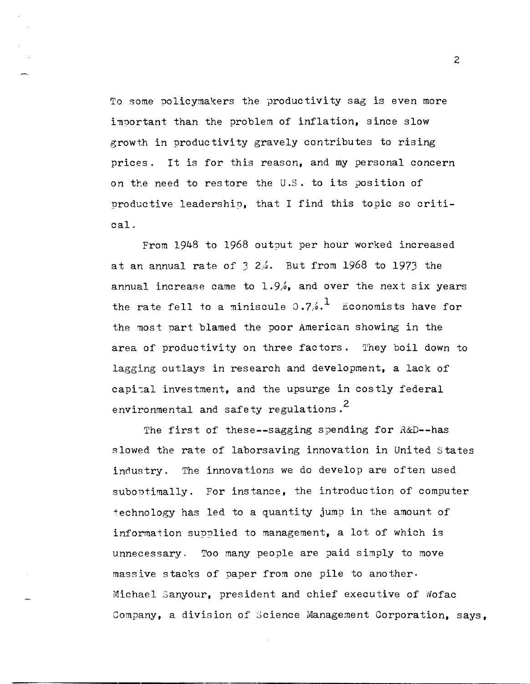To some policymakers the productivity sag is even more important than the problem of inflation, since slow growth in productivity gravely contributes to rising prices. It is for this reason, and my personal concern on the need to restore the U.S. to its position of productive leadership, that I find this topic so critical.

From 1948 to 1968 outout per hour worked increased at an annual rate of  $3\,2\%$ . But from 1968 to 1973 the annual increase came to  $1.9%$ , and over the next six years the rate fell to a miniscule  $0.7/-^1$  Economists have for the most part blamed the poor American showing in the area of productivity on three factors. They boil down to lagging outlays in research and development, a lack of capital investment, and the upsurge in costly federal environmental and safety regulations.<sup>2</sup>

The first of these--sagging spending for R&D--has slowed the rate of laborsaving innovation in United states industry. The innovations we do develop are often used suboptimally. For instance, the introduction of computer +echnology has led to a quantity jump in the amount of information supplied to management, a lot of which is unnecessary. Too many people are paid simply to move massive stacks of paper from one pile to another. Michael Sanyour, president and chief executive of Wofac Company, a division of Science Management Corporation, says,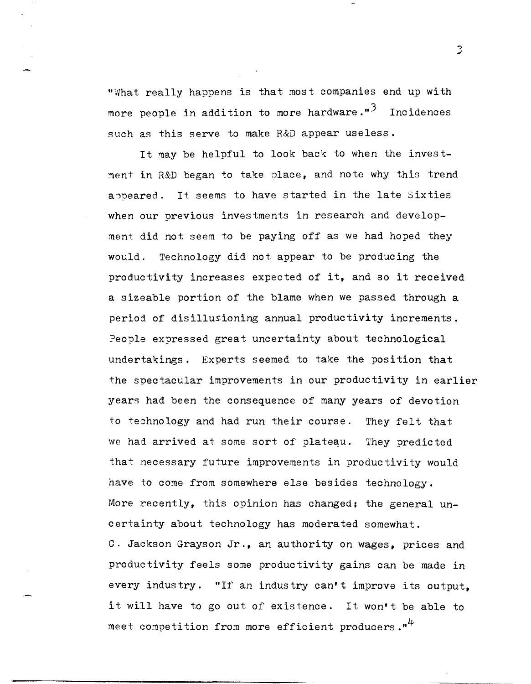"What really happens is that most companies end up with more people in addition to more hardware." $3$  Incidences such as this serve to make R&D appear useless.

It may be helpful to look back to when the investment in R&D began to take place, and note why this trend appeared. It seems to have started in the late Sixties when our previous investments in research and development did not seem to be paying off as we had hoped they would. Technology did not appear to be producing the productivity increases expected of it, and so it received a sizeable portion of the blame when we passed through a period of disillusioning annual productivity increments. People expressed great uncertainty about technological undertakings. Experts seemed to take the position that the spectacular improvements in our productivity in earlier years had been the consequence of many years of devotion to technology and had run their course. They felt that we had arrived at some sort of plateau. They predicted that necessary future improvements in productivity would have to come from somewhere else besides technology. More recently, this opinion has changed, the general uncertainty about technology has moderated somewhat. C. Jackson Grayson Jr., an authority on wages, prices and productivity feels some productivity gains can be made in every industry. "If an industry can't improve its output, it will have to go out of existence. It won't be able to

meet competition from more efficient producers. $"''$ 

 $\overline{3}$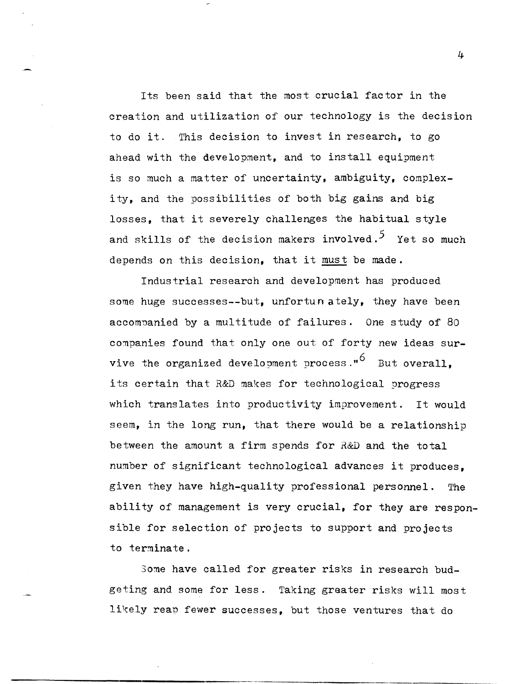Its been said that the most crucial factor in the creation and utilization of our technology is the decision to do it. This decision to invest in research, to go ahead with the development, and to install equipment is so much a matter of uncertainty, ambiguity, complexity, and the possibilities of both big gains and big losses, that it severely challenges the habitual style and skills of the decision makers involved.<sup>5</sup> Yet so much depends on this decision, that it must be made.

Industrial research and development has produced some huge successes--but, unfortun ately, they have been accompanied by a multitude of failures. One study of 80 companies found that only one out of forty new ideas survive the organized development process." $6$  But overall. its certain that R&D makes for technological progress which translates into productivity improvement. It would seem, in the long run, that there would be a relationship between the amount a firm spends for  $R&D$  and the total number of significant technological advances it produces, given they have high-quality professional personnel. The ability of management is very crucial, for they are responsible for selection of projects to support and projects to terminate.

Some have called for greater risks in research budgeting and some for less. Taking greater risks will most likely reap fewer successes, but those ventures that do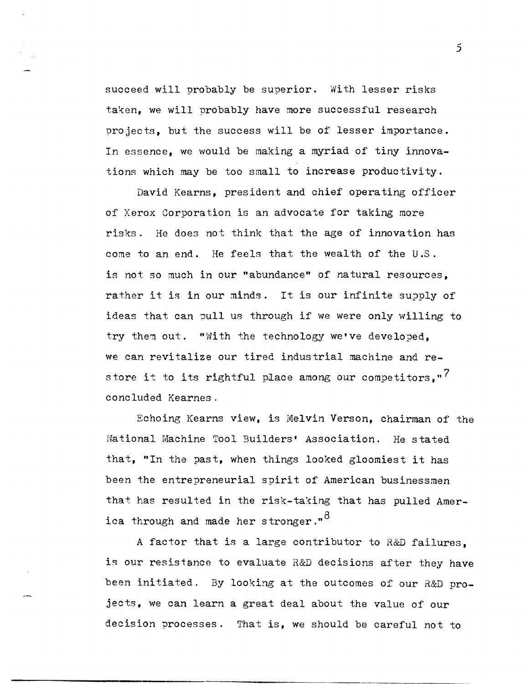succeed will probably be superior. With lesser risks taken, we will probably have more successful research projects, but the success will be of lesser importance. In essence, we would be making a myriad of tiny innovations which may be too small to increase productivity.

David Kearns, president and chief operating officer of Xerox Corporation is an advocate for taking more risks. He does not think that the age of innovation has come to an end. He feels that the wealth of the U.S. is not so much in our "abundance" of natural resources, rather it is in our minds. It is our infinite supply of ideas that can pull us through if we were only willing to try them out. "With the technology we've developed, we can revitalize our tired industrial machine and restore it to its rightful place among our competitors."<sup>7</sup> concluded Kearnes.

Echoing Kearns view, is Melvin Verson, chairman of the National Machine Tool Builders' Association. He stated that, "In the past, when things looked gloomiest it has been the entrepreneurial spirit of American businessmen that has resulted in the risk-taking that has pulled America through and made her stronger."<sup>8</sup>

A factor that is a large contributor to R&D failures, is our resistance to evaluate R&D decisions after they have been initiated. By looking at the outcomes of our R&D projects, we can learn a great deal about the value of our decision processes. That is, we should be careful not to

---" ----"-------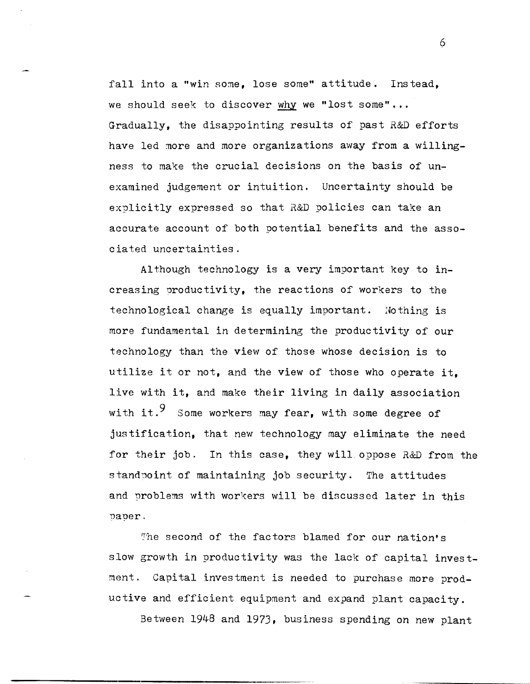fall into a "win some, lose some" attitude. Instead, we should seek to discover why we "lost some"... Gradually, the disappointing results of past R&D efforts have led more and more organizations away from a willingness to make the crucial decisions on the basis of unexamined judgement or intuition. Uncertainty should be explicitly expressed so that R&D policies can take an accurate account of both potential benefits and the associated uncertainties.

Although technology is a very important key to increasing oroductivity, the reactions of workers to the technological change is equally important. Nothing is more fundamental in determining the productivity of our technology than the view of those whose decision is to utilize it or not, and the view of those who operate it, live with it, and make their living in daily association with it.<sup>9</sup> Some workers may fear, with some degree of justification, that new technology may eliminate the need for their job. In this case, they will. oppose R&D from the standpoint of maintaining job security. The attitudes and problems with workers will be discussed later in this nauer.

The second of the factors blamed for our nation's slow growth in productivity was the lack of capital investment. Capital investment is needed to purchase more productive and efficient equipment and expand plant capacity.

Between 1948 and 1973, business spending on new plant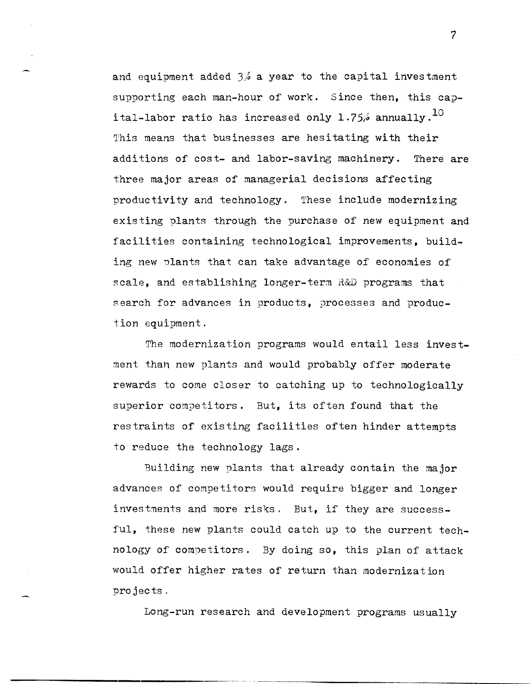and equipment added  $3/6$  a year to the capital investment supporting each man-hour of work. Since then, this capital-labor ratio has increased only 1.75% annually.<sup>10</sup> This means that businesses are hesitating with their additions of cost- and labor-saving machinery. There are three major areas of managerial decisions affecting productivity and technology. These include modernizing existing plants through the purchase of new equipment and facilities containing technological improvements, building new plants that can take advantage of economies of scale, and establishing longer-term R&D programs that search for advances in products, processes and production equipment.

The modernization programs would entail less investment thah new plants and would probably offer moderate rewards to come closer to catching up to technologically superior competitors. But, its often found that the restraints of existing facilities often hinder attempts to reduce the technology lags.

Building new plants that already contain the major advances of competitors would require bigger and longer investments and more risks. But, if they are successful, these new plants could catch up to the current technology of competitors. By doing so, this plan of attack would offer higher rates of return than modernization projects.

Long-run research and development programs usually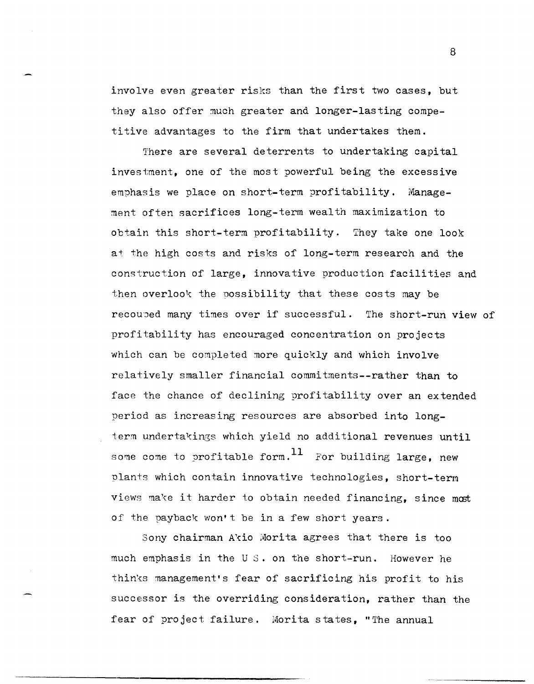involve even greater risks than the first two cases. but they also offer much greater and longer-lasting competitive advantages to the firm that undertakes them.

There are several deterrents to undertaking capital investment, one of the most powerful being the excessive emphasis we place on short-term profitability. Management often sacrifices long-term wealth maximization to obtain this short-term profitability. They take one look at the high costs and risks of long-term research and the construction of large, innovative production facilities and then overlook the possibility that these costs may be recouped many times over if successful. The short-run view of profitability has encouraged concentration on projects which can be completed more quickly and which involve relatively smaller financial commitments--rather than to face the chance of declining profitability over an extended period as increasing resources are absorbed into longterm undertakings which yield no additional revenues until some come to profitable form.  $^{11}$  For building large, new plants which contain innovative technologies, short-term views make it harder to obtain needed financing, since most of the payback won't be in a few short years.

Sony chairman Akio Morita agrees that there is too much emphasis in the US. on the short-run. However he thin's management's fear of sacrificing his profit to his successor is the overriding consideration, rather than the fear of project failure. Morita states, "The annual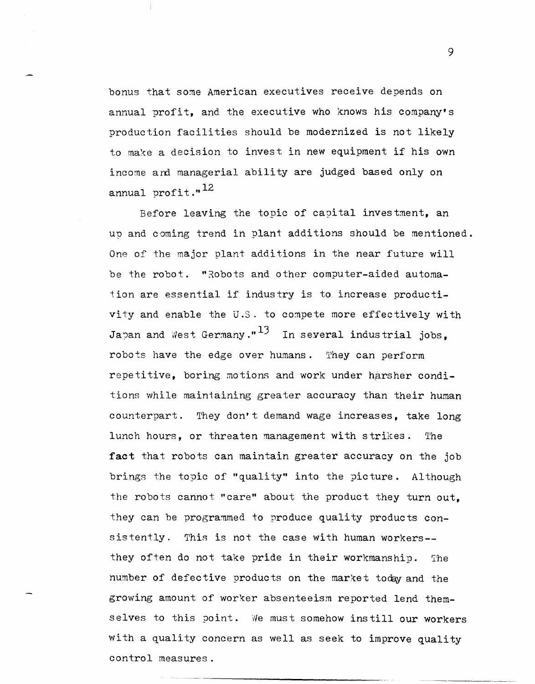bonus that some American executives receive depends on annual profit, and the executive who knows his company's production facilities should be modernized is not likely to make a decision to invest in new equipment if his own income and managerial ability are judged based only on annual profit." $^{12}$ 

Before leaving the topic of cayital investment, an up and coming trend in plant additions should be mentioned. One of the major plant additions in the near future will be the robot. "Robots and other computer-aided automation are essential if industry is to increase productivity and enable the U.S. to compete more effectively with Japan and West Germany." $^{13}$  In several industrial jobs, robots have the edge over humans. They can perform repetitive, boring motions and work under harsher conditions while maintaining greater accuracy than their human counterpart. They don't demand wage increases, take long lunch hours, or threaten management with strikes. The **fact** that robots can maintain greater accuracy on the job brings the topic of "quality" into the picture. Although the robots cannot "care" about the product they turn out, they can be programmed to produce quality products consistently. This is not the case with human workers-they often do not take pride in their workmanship. The number of defective products on the market today and the growing amount of worker absenteeism reported lend themselves to this point. 'Ne must somehow instill our workers with a quality concern as well as seek to improve quality control measures.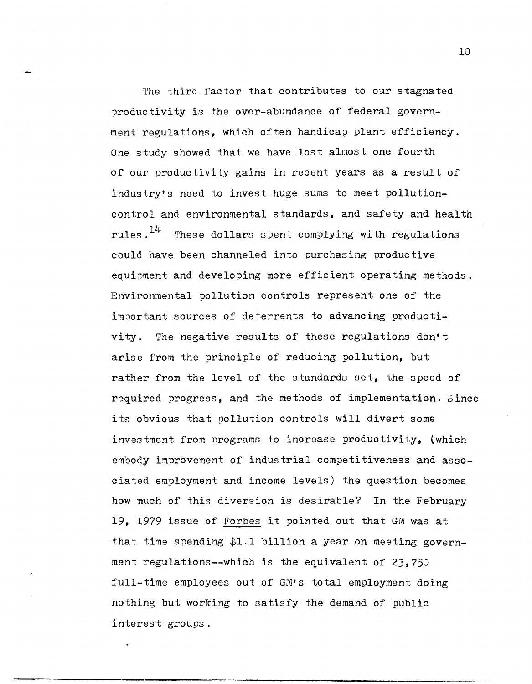The third factor that contributes to our stagnated productivity is the over-abundance of federal government regulations, which often handicap plant efficiency. One study showed that we have lost alnost one fourth of our productivity gains in recent years as a result of industry's need to invest huge sums to meet pollutioncontrol and environmental standards, and safety and health rules. $14$  These dollars spent complying with regulations coula have been channeled into purchasing productive equipment and developing more efficient operating methods. Environmental pollution controls represent one of the important sources of deterrents to advancing productivity. The negative results of these regulations don't arise from the principle of reducing pollution, but rather from the level of the standards set, the speed of required progress, and the methods of implementation. Since its obvious that pollution controls will divert some investment from programs to increase productivity, (which embody improvement of industrial competitiveness and associated employment and income levels) the question becomes how much of this diversion is desirable? In the February 19, 1979 issue of Forbes it pointed out that GM was at that time spending \$1.1 billion a year on meeting government regulations--which is the equivalent of 23,750 full-time employees out of GM's total employment doing nothing but working to satisfy the demand of public interest groups.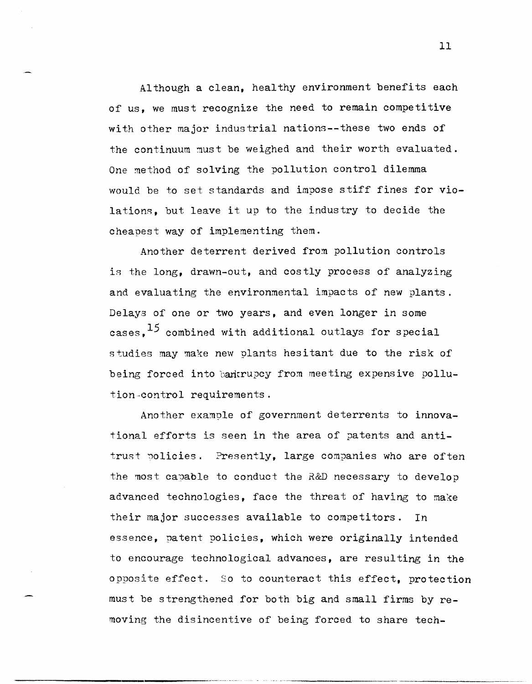Although a clean, healthy environment benefits each of us, we must recognize the need to remain competitive with other major industrial nations--these two ends of the continuum must be weighed and their worth evaluated. One method of solving the pollution control dilemma would be to set standards and impose stiff fines for violations, but leave it up to the industry to decide the cheapest way of implementing them.

Another deterrent derived from pollution controls is the long, drawn-out, and costly process of analyzing and evaluating the environmental impacts of new plants. Delays of one or two years, and even longer in some cases,  $^{15}$  combined with additional outlays for special stUdies may make new plants hesitant due to the risk of being forced into bankrupcy from meeting expensive pollution-control requirements.

Another example of government deterrents to innovational efforts is seen in the area of patents and antitrust policies. Presently, large companies who are often the most capable to conduct the R&D necessary to develop advanced technologies, face the threat of having to make their major successes available to competitors. In essenee, patent policies, which were originally intended to encourage technological advances, are resulting in the opposite effect. So to counteract this effect, protection must be strengthened for both big and small firms by removing the disincentive of being forced to share tech-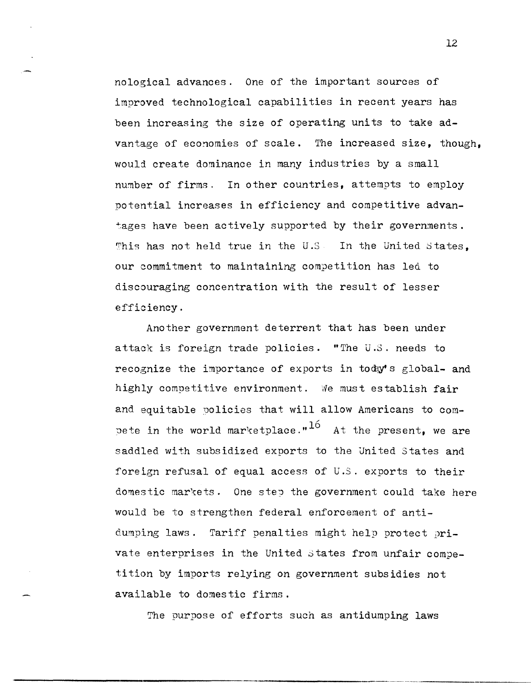nological advances. One of the important sources of improved technological capabilities in recent years has been increasing the size of operating units to take advantage of economies of scale. The increased size, though, would create dominance in many industries by a small number of firms. In other countries, attempts to employ potential increases in efficiency and competitive advantages have been actively supported by their governments. This has not held true in the U.S. In the United States. our commitment to maintaining competition has led to discouraging concentration with the result of lesser efficiency.

Another government deterrent that has been under attack is foreign trade policies. "The U.S. needs to recognize the importance of exports in tody's global- and highly competitive environment. We must establish fair and equitable policies that will allow Americans to combete in the world marketplace." $16$  At the present, we are saddled with subsidized exports to the United States and foreign refusal of equal access of U.S. exports to their domestic markets. One step the government could take here would be to strengthen federal enforcement of antidumping laws. Tariff penalties might help protect private enterprises in the United States from unfair competition by imports relying on government subsidies not available to domestic firms.

The purpose of efforts such as antidumping laws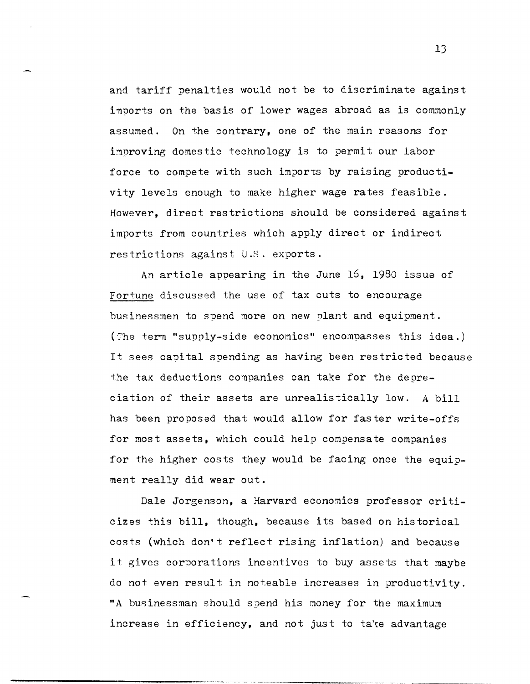and tariff penalties would not be to discriminate against imports on the basis of lower wages abroad as is commonly assumed. On the contrary, one of the main reasons for improving domestic technology is to permit our labor force to compete with such imports by raising productivity levels enough to make higher wage rates feasible. However, direct restrictions should be considered against imports from countries which apply direct or indirect restrictions against U.S. exports.

An article appearing in the June 16, 1980 issue of Fortune discussed the use of tax cuts to encourage businessmen to spend more on new plant and equipment. (The term "supply-side economics" encompasses this idea.) It sees capital spending as having been restricted because the tax deductions companies can take for the depreciation of their assets are unrealistically low. A bill has been proposed that would allow for faster write-offs for most assets, which could help compensate companies for the higher costs they would be facing once the equipment really did wear out.

Dale Jorgenson, a Harvard economics professor criticizes this bill, though, because its based on historical costs (which don't reflect rising inflation) and because it gives corporations incentives to buy assets that maybe do not even result in noteable increases in productivity. "A businessman should spend his money for the maximum increase in efficiency, and not just to take advantage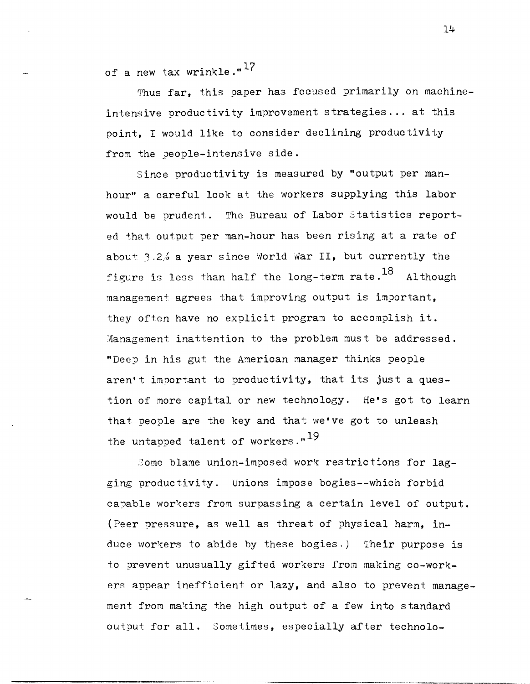of a new tax wrinkle."<sup>17</sup>

Thus far, this paper has focused primarily on machineintensive productivity improvement strategies... at this point, I would like to consider declining productivity from the people-intensive side.

Since productivity is measured by "output per manhour" a careful look at the workers supplying this labor would be prudent. The Bureau of Labor Statistics reported that output per man-hour has been rising at a rate of about 3.2% a year since World War II, but currently the figure is less than half the long-term rate.<sup>18</sup> Although management agrees that improving output is important, they often have no explicit program to accomplish it. Management inattention to the problem must be addressed. "Deep in his gut the American manager thinks people aren't important to productivity, that its just a question of more capital or new technology. He's got to learn that people are the key and that we've got to unleash the untapped talent of workers."<sup>19</sup>

Some blame union-imposed work restrictions for lagging productivity. Unions impose bogies--which forbid capable workers from surpassing a certain level of output. (Peer pressure, as well as threat of physical harm, induce workers to abide by these bogies.) Their purpose is to prevent unusually gifted workers from making co-workers appear inefficient or lazy, and also to prevent management from making the high output of a few into standard output for all. Sometimes, especially after technolo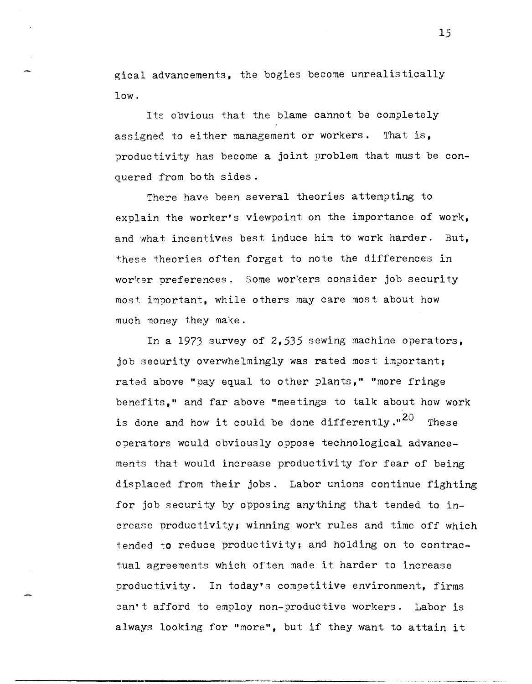gical advancements, the bogies become unrealistically low.

Its obvious that the blame cannot be completely assigned to either management or workers. That is, productivity has become a joint problem that must be conquered from both sides.

There have been several theories attempting to explain the worker's viewpoint on the importance of work, and what incentives best induce him to work harder. But, these theories often forget to note the differences in worker preferences. Some workers consider job security most important, while others may care most about how much money they make.

In a 1973 survey of 2,535 sewing machine operators, job security overwhelmingly was rated most important; rated above "pay equal to other plants," "more fringe benefits," and far above "meetings to talk about how work is done and how it could be done differently." $^{20}$  These operators would obviously oppose technological advancements that would increase productivity for fear of being displaced from their jobs. Labor unions continue fighting for job security by opposing anything that tended to increase productivity; winning work rules and time off which tended to reduce productivity; and holding on to contractual agreements which often made it harder to increase productivity. In today's competitive environment, firms can't afford to employ non-productive workers. Labor is always looking for "more", but if they want to attain it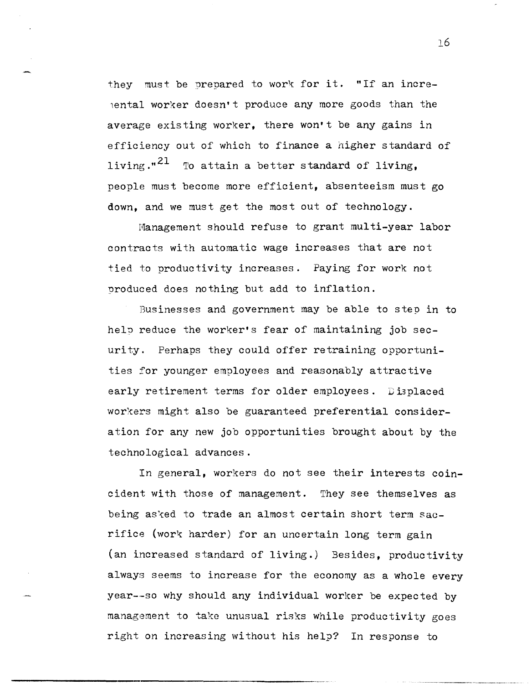they must be prepared to work for it. "If an incre- $\epsilon$  (ental worker doesn't produce any more goods than the average existing worker, there won't be any gains in efficiency out of which to finance a higher standard of living."<sup>21</sup> To attain a better standard of living, people must become more efficient, absenteeism must go down, and we must get the most out of technology.

Hanagement should refuse to grant multi-year labor contracts with automatic wage increases that are not tied to productivity increases. Paying for work not produced does nothing but add to inflation.

Businesses and government may be able to step in to help reduce the worker's fear of maintaining job security. Perhaps they could offer retraining opportunities for younger employees and reasonably attractive early retirement terms for older employees. Displaced workers might also be guaranteed preferential consideration for any new job opportunities brought about by the technological advances.

In general, workers do not see their interests coincident with those of management. They see themselves as being asked to trade an almost certain short term sacrifice (work harder) for an uncertain long term gain (an increased standard of living.) Besides, productivity always seems to increase for the economy as a whole every year-·-so why should any individual worker be expected by management to take unusual risks while productivity goes right on increasing without his help? In response to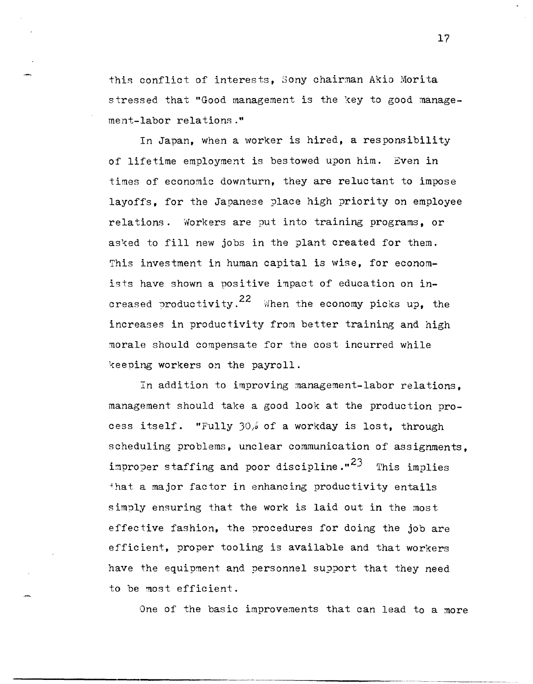this conflict of interests, Sony chairman Akio Morita stressed that "Good management is the key to good management-labor relations."

In Japan, when a worker is hired, a responsibility of lifetime employment is bestowed upon him. Even in times of economic downturn, they are reluctant to impose layoffs, for the Japanese place high priority on employee relations. Workers are put into training programs, or asked to fill new jobs in the plant created for them. This investment in human capital is wise, for economists have shown a positive impact of education on increased productivity.<sup>22</sup> When the economy picks up, the increases in productivity from better training and high morale should compensate for the cost incurred while keeping workers on the payroll.

In addition to improving management-labor relations, management should take a good look at the production process itself. "Fully 30% of a workday is lost, through scheduling problems, unclear communication of assignments, improper staffing and poor discipline."<sup>23</sup> This implies that a major factor in enhancing productivity entails simply ensuring that the work is laid out in the most effective fashion, the procedures for doing the job are efficient, proper tooling is available and that workers have the equipment and personnel support that they need to be most efficient.

One of the basic improvements that can lead to a more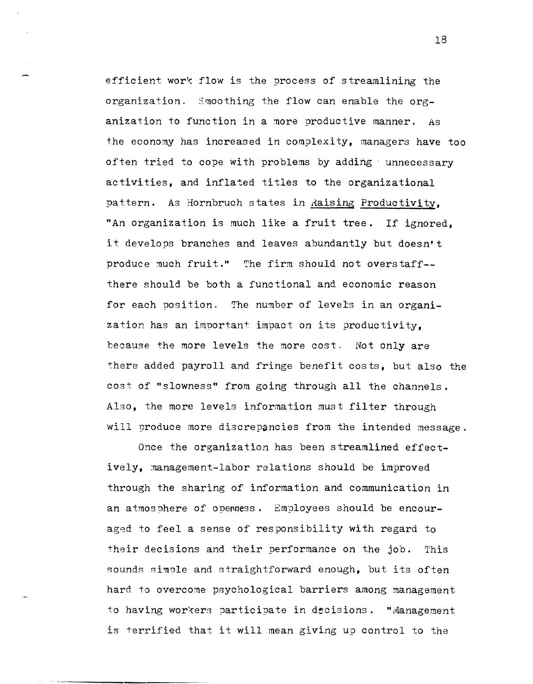efficient work flow is the process of streamlining the organization. Smoothing the flow can enable the organization to function in a more productive manner. As the economy has increased in complexity, managers have too often tried to cope with problems by adding unnecessary activities, and inflated titles to the organizational pattern. As Hornbruch states in Raising Productivity, "An organization is much like a fruit tree. If ignored, it develops branches and leaves abundantly but doesn't produce much fruit." The firm should not overstaff- there should be both a functional and economic reason for each position. The number of levels in an organization has an important impact on its productivity, because the more levels the more cost. Not only are there added payroll and fringe benefit costs, but also the cost of "slowness" from going through all the channels. Also, the more levels information must filter through will produce more discrepancies from the intended message.

Once the organization has been streamlined effectively, management-labor relations should be improved through the sharing of information and communication in an atmosphere of operness. Employees should be encouraged to feel a sense of responsibility with regard to their decisions and their performance on the job. This sounds simple and straightforward enough, but its often hard to overcome psychological barriers among management to having workers participate in decisions. "Management is terrified that it will mean giving up control to the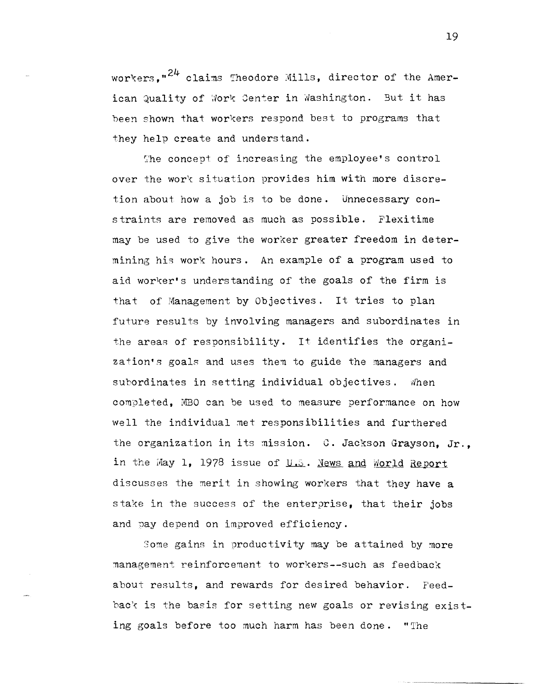workers." $24$  claims Theodore Mills, director of the American Quality of Work Center in Washington. But it has been shown that workers respond best to programs that they help create and understand.

The concept of increasing the employee's control over the work situation provides him with more discretion about how a job is to be done. Unnecessary constraints are removed as much as possible. Flexitime may be used to give the worker greater freedom in determining his work hours. An example of a program used to aid worker's understanding of the goals of the firm is that of Management by Objectives. It tries to plan future results by involving managers and subordinates in the areas of responsibility. It identifies the organization's goals and uses them to guide the managers and subordinates in setting individual objectives. When completed. MBO can be used to measure performance on how well the individual met responsibilities and furthered the organization in its mission. C. Jackson Grayson, Jr., in the May 1, 1978 issue of  $U.S.$  News and World Report. discusses the merit in showing workers that they have a stake in the success of the enterprise, that their jobs and pay depend on improved efficiency.

Some gains in productivity may be attained by more management reinforcement to workers--such as feedback about results, and rewards for desired behavior. Feedback is the basis for setting new goals or revising existing goals before too much harm has been done. "'Ihe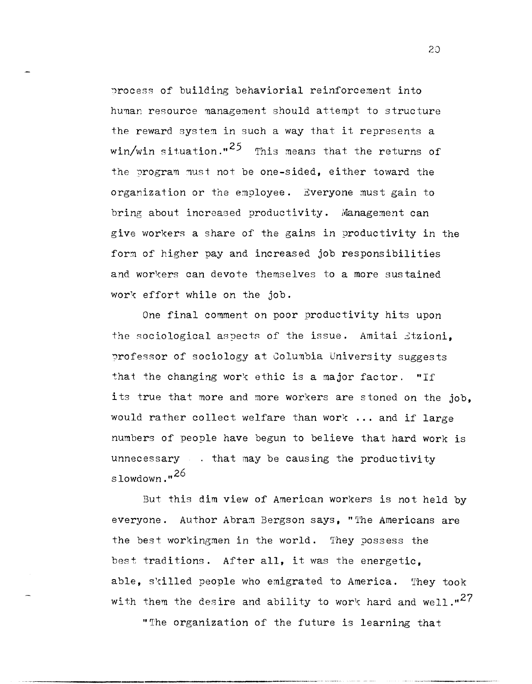process of building behaviorial reinforcement into human resource management should attempt to structure the reward system in such a way that it represents a win/win situation."<sup>25</sup> This means that the returns of the program must not be one-sided, either toward the organization or the employee. Everyone must gain to bring about increased productivity. Management can give workers a share of the gains in productivity in the form of higher pay and increased job responsibilities and workers can devote themselves to a more sustained work effort while on the job.

One final comment on poor productivity hits upon the sociological aspects of the issue. Amitai Jtzioni, professor of sociology at Columbia University suggests that the changing work ethic is a major factor. "If its true that more and more workers are stoned on the job, would rather collect welfare than work ... and if large numbers of people have begun to believe that hard work is unnecessary  $\ldots$  that may be causing the productivity slowdown. $,26$ 

But this dim view of American workers is not held by everyone. Author Abram Bergson says, "'l'he Americans are the best workingmen in the world. 'They possess the best traditions. After **all,** it was the energetic, able, skilled people who emigrated to America. They took with them the desire and ability to work hard and well." $^{27}$ 

"'Ihe organization of the future is learning that

-----------------------.------------------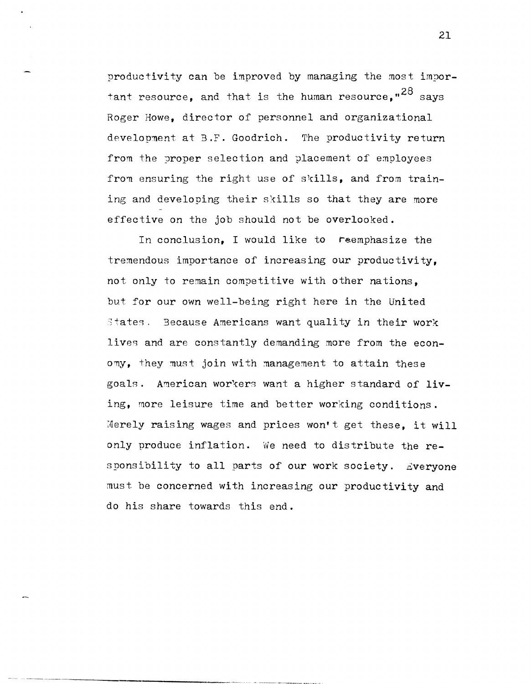productivity can be improved by managing the most important resource, and that is the human resource."<sup>28</sup> savs Roger Howe, director of personnel and organizational development at B.F. Goodrich. The productivity return from the proper selection and placement of employees from ensuring the right use of skills, and from training and developing their skills so that they are more effective on the job should not be overlooked.

In conclusion, I would like to reemphasize the tremendous importance of increasing our productivity, not only to remain competitive with other nations, but for our own well-being right here in the United 3tates. Because Americans want quality in their work lives and are constantly demanding more from the economy, they must join with management to attain these goals. American workers want a higher standard of living, more leisure time and better working conditions. Merely raising wages and prices won't get these, it will only produce inflation. We need to distribute the responsibility to all parts of our work society. Everyone must be concerned with increasing our productivity and do his share towards this end.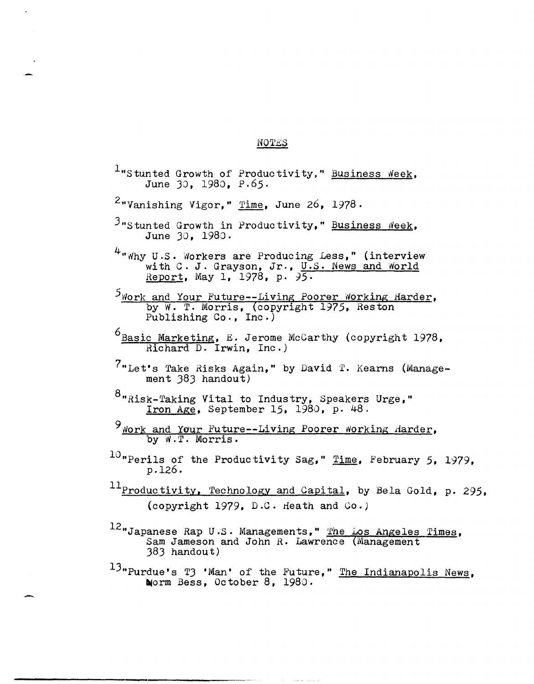## **NOTES**

 $l$ "Stunted Growth of Productivity," Business Week, June JO, *1980, p.65·*   $2$ "Vanishing Vigor," Time, June 26, 1978.  $3$ "Stunted Growth in Productivity," Business Week, June JO, 1980.  $4$ "Why U.S. Workers are Producing Less," (interview v.s. workers are rroducing less, (interview<br>with C. J. Grayson, Jr., U.S. News and World Report, May 1, 1978, p. 95.  $5$ Work and Your Future--Living Poorer Working Harder, by W. T. Morris, copyright 1975, Reston Publishing Co., Inc.) <sup>6</sup> Basic Marketing, E. Jerome McCarthy (copyright 1978, Richard D. Irwin, Inc.)  $7$ "Let's Take Risks Again," by David T. Kearns (Management 383 handout) <sup>8</sup>"Risk-Taking Vital to Industry, Speakers Urge," Iron Age, September 15, *1980,* p. 48. 9 Nork and Your Future--Living Poorer Working Harder, by W.T. Morris.  $10$  "Perils of the Productivity Sag," Time, February 5, 1979, p.126. 11<sub>Productivity, Technology and Capital, by Bela Gold, p. 295,</sub> (copyright 1979, D.C. Heath and  $Co.$ )  $^{12}$ "Japanese Rap U.S. Managements," The Los Angeles Times, Sam Jameson and John R. Lawrence (Management J8J handout) <sup>13</sup>"Purdue's T3 'Man' of the Future," The Indianapolis News, Norm Bess, October 8, 1980.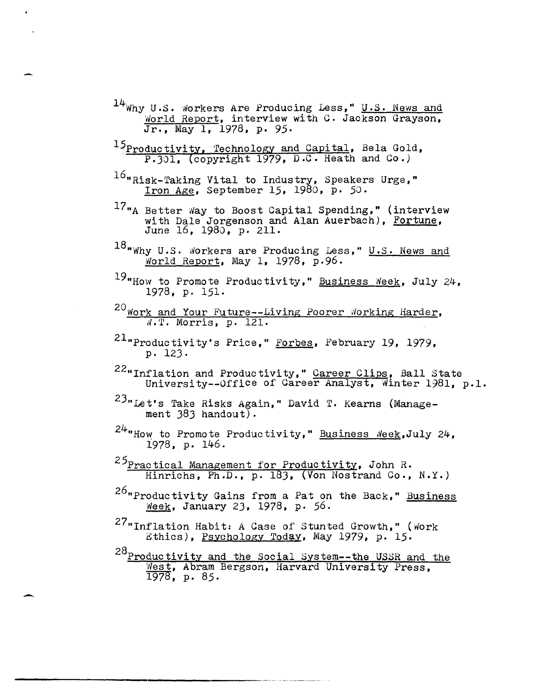- <sup>14</sup>Why U.S. Workers Are Producing Less," U.S. News and World Report, interview with C. Jackson Grayson,  $\frac{101 \pm 0.16}{\pi}$ , May 1, 1978, p. 95.
- <sup>15</sup>Productivity, Technology and Capital, Bela Gold,<br>P.301, (copyright 1979, D.C. Heath and Co.)
- $^{16}$ "Risk-Taking Vital to Industry, Speakers Urge," Iron Age, September 15, 1980, p. 50.
- $^{17}$ "A Better Way to Boost Capital Spending," (interview with Dale Jorgenson and Alan Auerbach), Fortune, June 16, 1980, p. 211.
- <sup>18</sup> Why U.S. Workers are Producing Less," U.S. News and World Report, May 1, 1978, p.96.
- 19"How to Promote Productivity," Business Week, July 24, 1978, p. 151.
- <sup>20</sup> Work and Your Future--Living Poorer Working Harder, *N.T.* Morris, p. 121.
- $21$ "Productivity's Price," Forbes, February 19, 1979, p. 123·
- 22"Inflation and Productivity," Career Clips, Ball State Indition and froude tivity, **Safet Silps, Bati State** 1981, p.1.
- 23"Let's Take Risks Again," David T. Kearns (Management  $383$  handout).
- $24$ "How to Promote Productivity," Business Neek,July 24, 1978, p. 146.
- <sup>25</sup>Practical Management for Hinrichs, Ph.D., p. 183, (Von Nostrand Co., N.Y.)
- <sup>26</sup>"Productivity Gains from a Pat on the Back," Business Week, January 23, 1978, p. 56.
- 27"Inflation Habit: A Case of Stunted Growth," (work Ethics), Psychology Today, May 1979, p. 15.
- <sup>28</sup>Productivity and the Social System--the USSR and the *'tlest,* Abram Bergson, Harvard University Press, 1978, p. 85.

--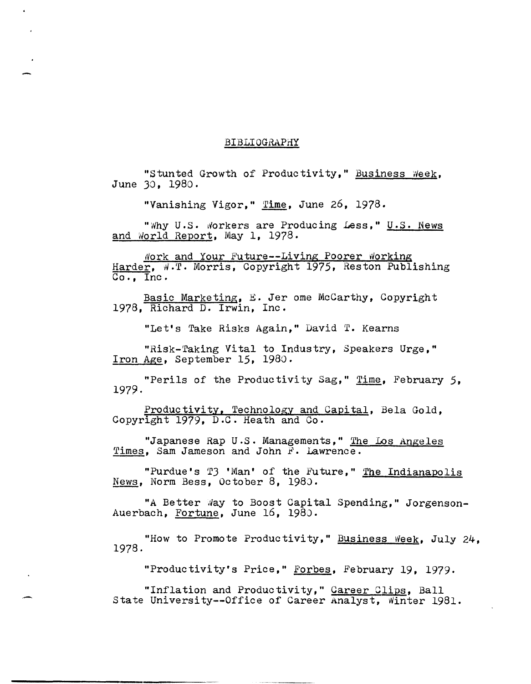## BIBLIOGRAPHY

"Stunted Growth of Productivity," Business Week, June 30, 1980.

"Vanishing Vigor," Time, June 26, 1978.

"Why U.S. Workers are Producing Less," U.S. News and World Report, May 1, 1978.

Nork and Your Future--Living Poorer Working Harder, W.T. Morris, Copyright 1975, Reston Publishing  $\overline{Co.}$ , Inc.

Basic Marketing, E. Jer ome McCarthy, Copyright 1978, Richard D. Irwin, Inc.

"Let's Take Risks Again," David T. Kearns

"Risk-Taking Vital to Industry, Speakers Urge," Iron Age, September 15, 1980.

"Perils of the Productivity Sag," Time, February 5, 1979.

Productivity, Technology and Capital, Bela Gold, Copyright 1979, D.C. Heath and Co.

"Japanese Rap U.S. Managements," The Los Angeles Times, Sam Jameson and John F. Lawrence.

"Purdue's T3 'Man' of the Future," The Indianapolis News, Norm Bess, October 8, 1980.

"A Better Way to Boost Capital Spending," Jorgenson-Auerbach, Fortune, June 16, 1980.

"How to Promote Productivity," Business Week, July 24, 1978.

"Productivity's Price," Forbes, February 19, 1979.

"Inflation and Productivity," Career Clips, Ball State University--Office of Career Analyst, Winter 1981.